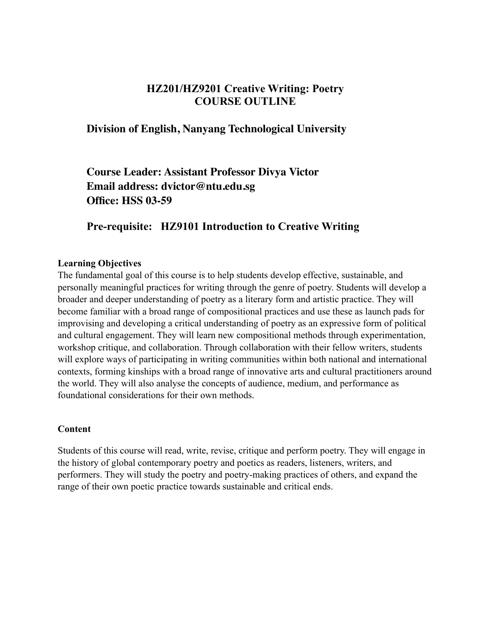# **HZ201/HZ9201 Creative Writing: Poetry COURSE OUTLINE**

## **Division of English, Nanyang Technological University**

**Course Leader: Assistant Professor Divya Victor Email address: dvictor@ntu.edu.sg Office: HSS 03-59**

# **Pre-requisite: HZ9101 Introduction to Creative Writing**

#### **Learning Objectives**

The fundamental goal of this course is to help students develop effective, sustainable, and personally meaningful practices for writing through the genre of poetry. Students will develop a broader and deeper understanding of poetry as a literary form and artistic practice. They will become familiar with a broad range of compositional practices and use these as launch pads for improvising and developing a critical understanding of poetry as an expressive form of political and cultural engagement. They will learn new compositional methods through experimentation, workshop critique, and collaboration. Through collaboration with their fellow writers, students will explore ways of participating in writing communities within both national and international contexts, forming kinships with a broad range of innovative arts and cultural practitioners around the world. They will also analyse the concepts of audience, medium, and performance as foundational considerations for their own methods.

#### **Content**

Students of this course will read, write, revise, critique and perform poetry. They will engage in the history of global contemporary poetry and poetics as readers, listeners, writers, and performers. They will study the poetry and poetry-making practices of others, and expand the range of their own poetic practice towards sustainable and critical ends.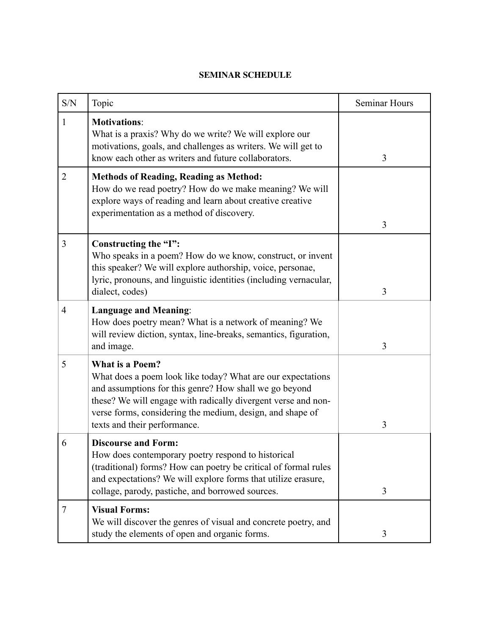#### **SEMINAR SCHEDULE**

| S/N | Topic                                                                                                                                                                                                                                                                                                         | Seminar Hours |
|-----|---------------------------------------------------------------------------------------------------------------------------------------------------------------------------------------------------------------------------------------------------------------------------------------------------------------|---------------|
| 1   | <b>Motivations:</b><br>What is a praxis? Why do we write? We will explore our<br>motivations, goals, and challenges as writers. We will get to<br>know each other as writers and future collaborators.                                                                                                        | 3             |
| 2   | <b>Methods of Reading, Reading as Method:</b><br>How do we read poetry? How do we make meaning? We will<br>explore ways of reading and learn about creative creative<br>experimentation as a method of discovery.                                                                                             | 3             |
| 3   | Constructing the "I":<br>Who speaks in a poem? How do we know, construct, or invent<br>this speaker? We will explore authorship, voice, personae,<br>lyric, pronouns, and linguistic identities (including vernacular,<br>dialect, codes)                                                                     | 3             |
| 4   | <b>Language and Meaning:</b><br>How does poetry mean? What is a network of meaning? We<br>will review diction, syntax, line-breaks, semantics, figuration,<br>and image.                                                                                                                                      | 3             |
| 5   | <b>What is a Poem?</b><br>What does a poem look like today? What are our expectations<br>and assumptions for this genre? How shall we go beyond<br>these? We will engage with radically divergent verse and non-<br>verse forms, considering the medium, design, and shape of<br>texts and their performance. | 3             |
| 6   | <b>Discourse and Form:</b><br>How does contemporary poetry respond to historical<br>(traditional) forms? How can poetry be critical of formal rules<br>and expectations? We will explore forms that utilize erasure,<br>collage, parody, pastiche, and borrowed sources.                                      | 3             |
| 7   | <b>Visual Forms:</b><br>We will discover the genres of visual and concrete poetry, and<br>study the elements of open and organic forms.                                                                                                                                                                       | 3             |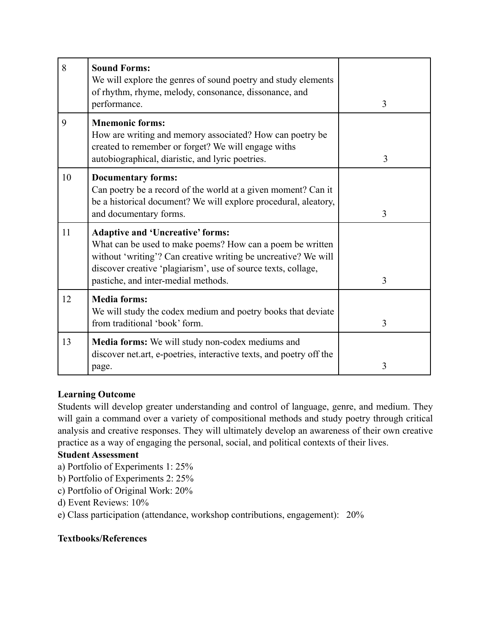| 8  | <b>Sound Forms:</b><br>We will explore the genres of sound poetry and study elements<br>of rhythm, rhyme, melody, consonance, dissonance, and<br>performance.                                                                                                                  | $\overline{3}$ |
|----|--------------------------------------------------------------------------------------------------------------------------------------------------------------------------------------------------------------------------------------------------------------------------------|----------------|
| 9  | <b>Mnemonic forms:</b><br>How are writing and memory associated? How can poetry be<br>created to remember or forget? We will engage withs<br>autobiographical, diaristic, and lyric poetries.                                                                                  | 3              |
| 10 | <b>Documentary forms:</b><br>Can poetry be a record of the world at a given moment? Can it<br>be a historical document? We will explore procedural, aleatory,<br>and documentary forms.                                                                                        | 3              |
| 11 | <b>Adaptive and 'Uncreative' forms:</b><br>What can be used to make poems? How can a poem be written<br>without 'writing'? Can creative writing be uncreative? We will<br>discover creative 'plagiarism', use of source texts, collage,<br>pastiche, and inter-medial methods. | $\overline{3}$ |
| 12 | <b>Media forms:</b><br>We will study the codex medium and poetry books that deviate<br>from traditional 'book' form.                                                                                                                                                           | 3              |
| 13 | <b>Media forms:</b> We will study non-codex mediums and<br>discover net.art, e-poetries, interactive texts, and poetry off the<br>page.                                                                                                                                        | 3              |

## **Learning Outcome**

Students will develop greater understanding and control of language, genre, and medium. They will gain a command over a variety of compositional methods and study poetry through critical analysis and creative responses. They will ultimately develop an awareness of their own creative practice as a way of engaging the personal, social, and political contexts of their lives.

### **Student Assessment**

a) Portfolio of Experiments 1: 25%

b) Portfolio of Experiments 2: 25%

c) Portfolio of Original Work: 20%

d) Event Reviews: 10%

e) Class participation (attendance, workshop contributions, engagement): 20%

### **Textbooks/References**